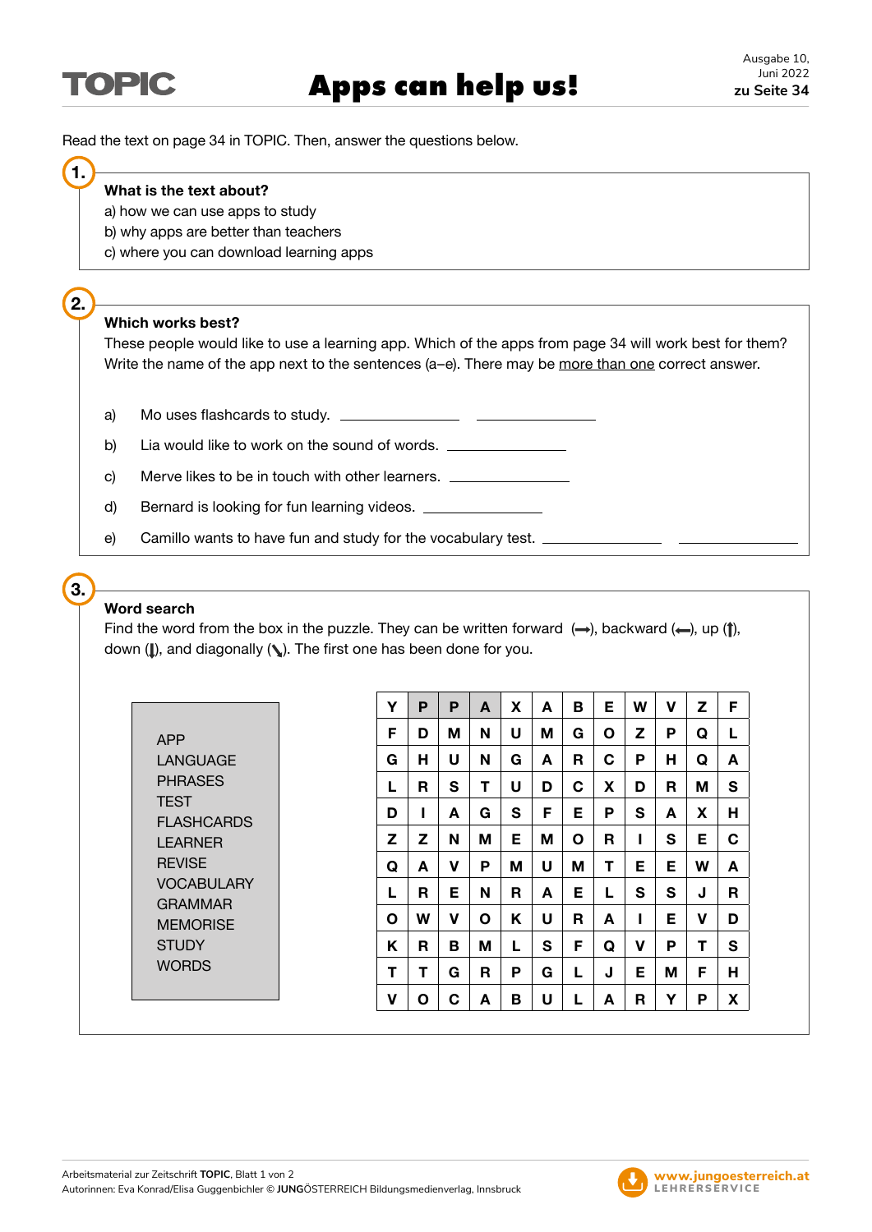Read the text on page 34 in TOPIC. Then, answer the questions below.

#### **What is the text about?**

- a) how we can use apps to study
- b) why apps are better than teachers
- c) where you can download learning apps

# **2.**

**3.**

**1.**

### **Which works best?**

These people would like to use a learning app. Which of the apps from page 34 will work best for them? Write the name of the app next to the sentences (a-e). There may be more than one correct answer.

- a) Mo uses flashcards to study.
- b) Lia would like to work on the sound of words.
- c) Merve likes to be in touch with other learners.  $\Box$
- d) Bernard is looking for fun learning videos.  $\Box$
- e) Camillo wants to have fun and study for the vocabulary test.

## **Word search**

Find the word from the box in the puzzle. They can be written forward  $(\rightarrow)$ , backward  $(\leftarrow)$ , up ( $\uparrow$ ), down ( $\parallel$ ), and diagonally ( $\backslash\!\!\!\backslash$ ). The first one has been done for you.

| APP           |
|---------------|
| I ANGUAGE     |
| PHRASES       |
| <b>TEST</b>   |
| FI ASHCARDS   |
| I FARNFR      |
| <b>REVISE</b> |
| VOCABUI ARY   |
| GRAMMAR       |
| MFMORISF      |
| STUDY         |
| WORDS         |
|               |

| Υ            | P | P            | A | X | A | в  | Е | W | v | z | F |
|--------------|---|--------------|---|---|---|----|---|---|---|---|---|
| F            | D | Μ            | N | U | М | G  | O | z | Ρ | Q | L |
| G            | н | U            | N | G | A | R  | C | Р | н | Q | A |
| L            | R | $\mathbf{s}$ | т | U | D | С  | X | D | R | М | S |
| D            | ı | A            | G | S | F | Е  | P | S | A | X | н |
| z            | z | N            | M | Е | М | Ο  | R | ı | S | Е | C |
| Q            | A | ۷            | P | M | U | М  | т | Е | Е | W | A |
| L            | R | Е            | N | R | A | Е  | L | S | S | J | R |
| $\mathbf{o}$ | W | v            | O | Κ | U | R  | A | ı | E | ۷ | D |
| Κ            | R | в            | M | L | S | F  | Q | v | P | Τ | S |
| т            | т | G            | R | Р | G | L. | J | Е | Μ | F | н |
| V            | O | C            | A | в | U | L  | A | R | Y | Р | X |